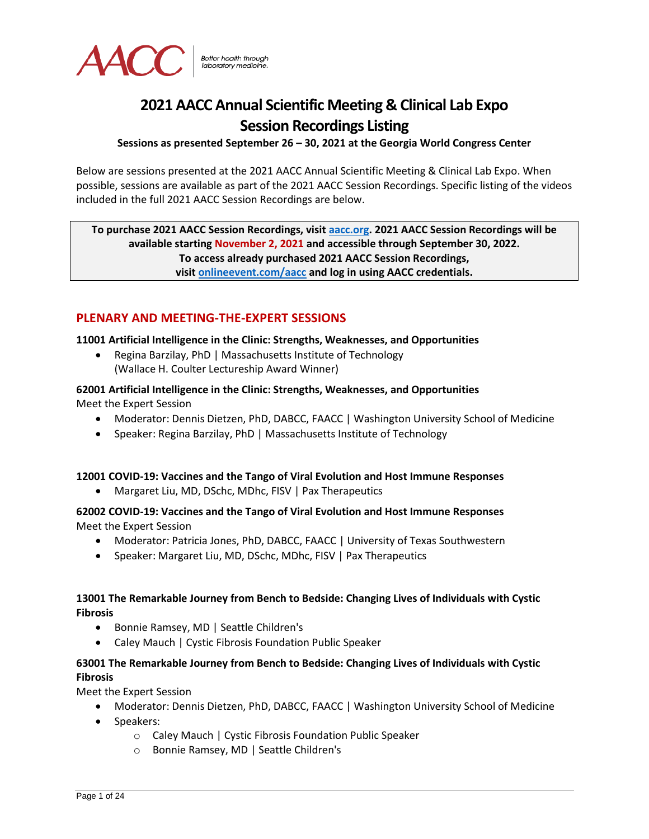

# **2021 AACC Annual Scientific Meeting & Clinical Lab Expo Session Recordings Listing**

#### **Sessions as presented September 26 – 30, 2021 at the Georgia World Congress Center**

Below are sessions presented at the 2021 AACC Annual Scientific Meeting & Clinical Lab Expo. When possible, sessions are available as part of the 2021 AACC Session Recordings. Specific listing of the videos included in the full 2021 AACC Session Recordings are below.

**To purchase 2021 AACC Session Recordings, visit [aacc.org.](https://www.aacc.org/meetings-and-events/annual-meeting-session-recordings) 2021 AACC Session Recordings will be available starting November 2, 2021 and accessible through September 30, 2022. To access already purchased 2021 AACC Session Recordings, visit [onlineevent.com/aacc](https://www.onlineevent.com/aacc) and log in using AACC credentials.**

# **PLENARY AND MEETING-THE-EXPERT SESSIONS**

#### **11001 Artificial Intelligence in the Clinic: Strengths, Weaknesses, and Opportunities**

• Regina Barzilay, PhD | Massachusetts Institute of Technology (Wallace H. Coulter Lectureship Award Winner)

**62001 Artificial Intelligence in the Clinic: Strengths, Weaknesses, and Opportunities** Meet the Expert Session

- Moderator: Dennis Dietzen, PhD, DABCC, FAACC | Washington University School of Medicine
- Speaker: Regina Barzilay, PhD | Massachusetts Institute of Technology

#### **12001 COVID-19: Vaccines and the Tango of Viral Evolution and Host Immune Responses**

• Margaret Liu, MD, DSchc, MDhc, FISV | Pax Therapeutics

**62002 COVID-19: Vaccines and the Tango of Viral Evolution and Host Immune Responses** Meet the Expert Session

- Moderator: Patricia Jones, PhD, DABCC, FAACC | University of Texas Southwestern
- Speaker: Margaret Liu, MD, DSchc, MDhc, FISV | Pax Therapeutics

#### **13001 The Remarkable Journey from Bench to Bedside: Changing Lives of Individuals with Cystic Fibrosis**

- Bonnie Ramsey, MD | Seattle Children's
- Caley Mauch | Cystic Fibrosis Foundation Public Speaker

# **63001 The Remarkable Journey from Bench to Bedside: Changing Lives of Individuals with Cystic Fibrosis**

Meet the Expert Session

- Moderator: Dennis Dietzen, PhD, DABCC, FAACC | Washington University School of Medicine
- Speakers:
	- o Caley Mauch | Cystic Fibrosis Foundation Public Speaker
	- o Bonnie Ramsey, MD | Seattle Children's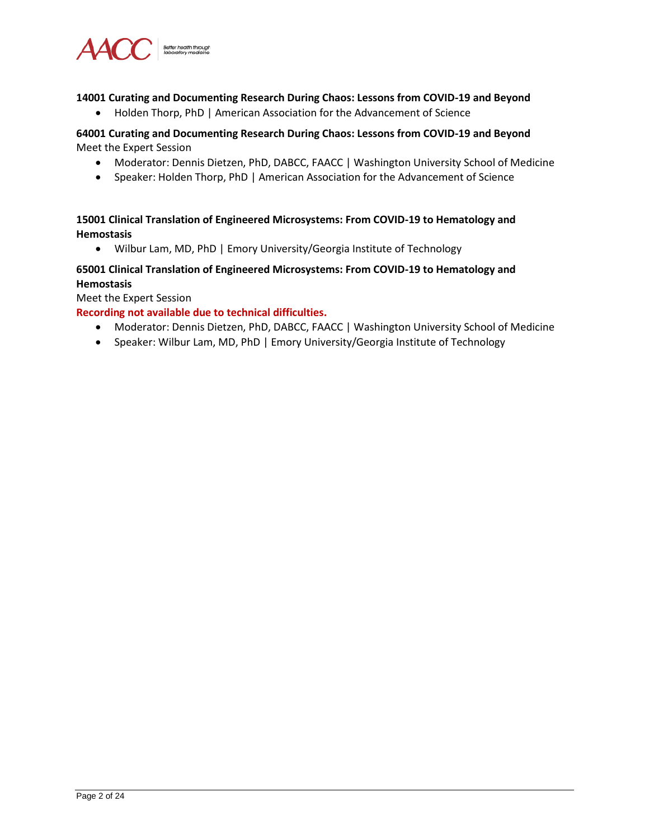

#### **14001 Curating and Documenting Research During Chaos: Lessons from COVID-19 and Beyond**

• Holden Thorp, PhD | American Association for the Advancement of Science

#### **64001 Curating and Documenting Research During Chaos: Lessons from COVID-19 and Beyond** Meet the Expert Session

- Moderator: Dennis Dietzen, PhD, DABCC, FAACC | Washington University School of Medicine
- Speaker: Holden Thorp, PhD | American Association for the Advancement of Science

#### **15001 Clinical Translation of Engineered Microsystems: From COVID-19 to Hematology and Hemostasis**

• Wilbur Lam, MD, PhD | Emory University/Georgia Institute of Technology

# **65001 Clinical Translation of Engineered Microsystems: From COVID-19 to Hematology and Hemostasis**

Meet the Expert Session

#### **Recording not available due to technical difficulties.**

- Moderator: Dennis Dietzen, PhD, DABCC, FAACC | Washington University School of Medicine
- Speaker: Wilbur Lam, MD, PhD | Emory University/Georgia Institute of Technology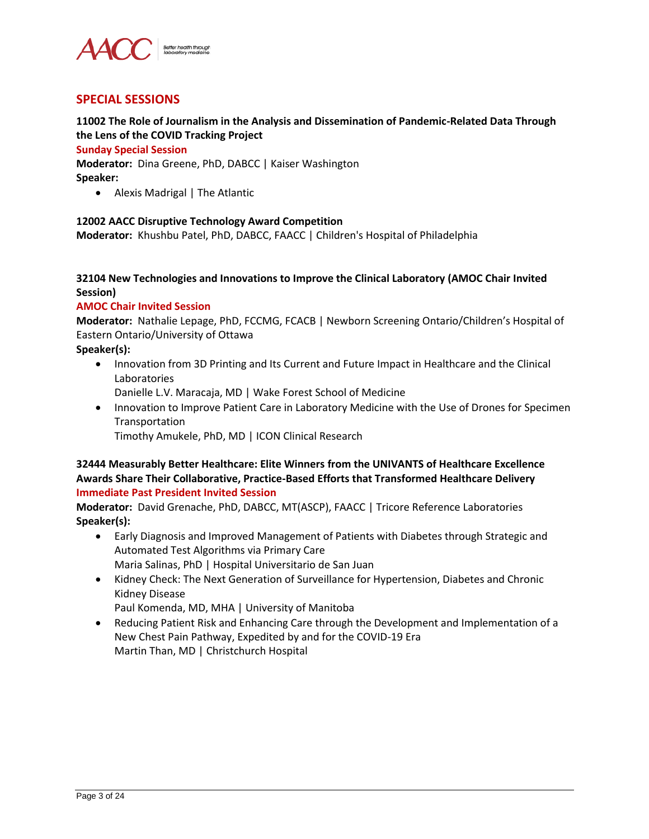

# **SPECIAL SESSIONS**

# **11002 The Role of Journalism in the Analysis and Dissemination of Pandemic-Related Data Through the Lens of the COVID Tracking Project**

#### **Sunday Special Session**

**Moderator:** Dina Greene, PhD, DABCC | Kaiser Washington **Speaker:**

• Alexis Madrigal | The Atlantic

#### **12002 AACC Disruptive Technology Award Competition**

**Moderator:** Khushbu Patel, PhD, DABCC, FAACC | Children's Hospital of Philadelphia

#### **32104 New Technologies and Innovations to Improve the Clinical Laboratory (AMOC Chair Invited Session)**

#### **AMOC Chair Invited Session**

**Moderator:** Nathalie Lepage, PhD, FCCMG, FCACB | Newborn Screening Ontario/Children's Hospital of Eastern Ontario/University of Ottawa

**Speaker(s):**

- Innovation from 3D Printing and Its Current and Future Impact in Healthcare and the Clinical Laboratories
	- Danielle L.V. Maracaja, MD | Wake Forest School of Medicine
- Innovation to Improve Patient Care in Laboratory Medicine with the Use of Drones for Specimen Transportation
	- Timothy Amukele, PhD, MD | ICON Clinical Research

#### **32444 Measurably Better Healthcare: Elite Winners from the UNIVANTS of Healthcare Excellence Awards Share Their Collaborative, Practice-Based Efforts that Transformed Healthcare Delivery Immediate Past President Invited Session**

**Moderator:** David Grenache, PhD, DABCC, MT(ASCP), FAACC | Tricore Reference Laboratories **Speaker(s):**

- Early Diagnosis and Improved Management of Patients with Diabetes through Strategic and Automated Test Algorithms via Primary Care Maria Salinas, PhD | Hospital Universitario de San Juan
- Kidney Check: The Next Generation of Surveillance for Hypertension, Diabetes and Chronic Kidney Disease

Paul Komenda, MD, MHA | University of Manitoba

• Reducing Patient Risk and Enhancing Care through the Development and Implementation of a New Chest Pain Pathway, Expedited by and for the COVID-19 Era Martin Than, MD | Christchurch Hospital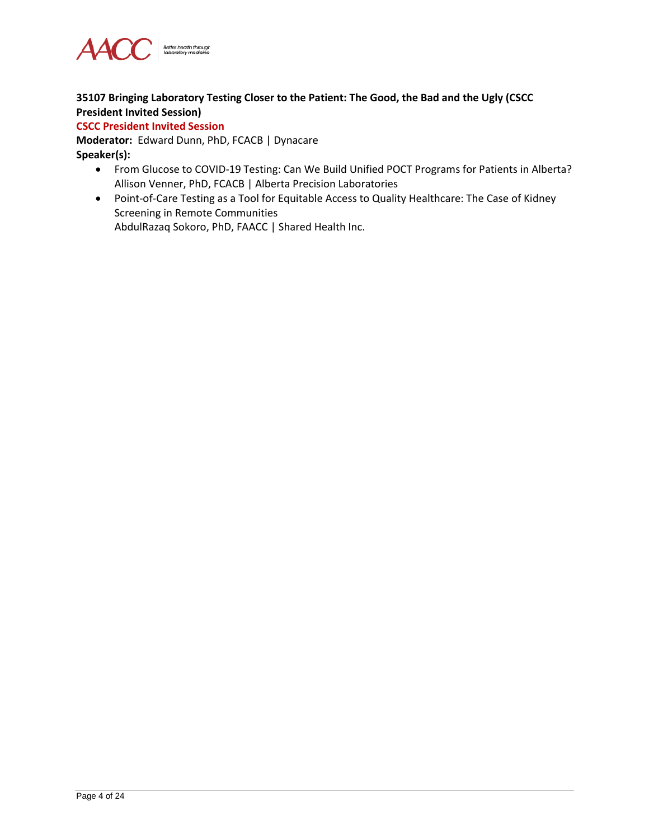

# **35107 Bringing Laboratory Testing Closer to the Patient: The Good, the Bad and the Ugly (CSCC President Invited Session)**

#### **CSCC President Invited Session**

**Moderator:** Edward Dunn, PhD, FCACB | Dynacare **Speaker(s):**

- From Glucose to COVID-19 Testing: Can We Build Unified POCT Programs for Patients in Alberta? Allison Venner, PhD, FCACB | Alberta Precision Laboratories
- Point-of-Care Testing as a Tool for Equitable Access to Quality Healthcare: The Case of Kidney Screening in Remote Communities AbdulRazaq Sokoro, PhD, FAACC | Shared Health Inc.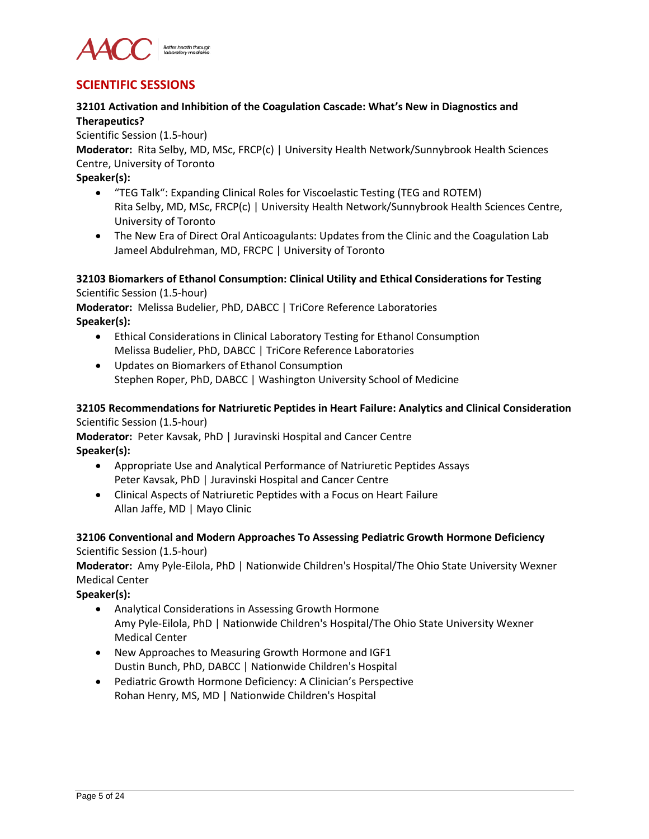

# **SCIENTIFIC SESSIONS**

# **32101 Activation and Inhibition of the Coagulation Cascade: What's New in Diagnostics and Therapeutics?**

Scientific Session (1.5-hour)

**Moderator:** Rita Selby, MD, MSc, FRCP(c) | University Health Network/Sunnybrook Health Sciences Centre, University of Toronto

**Speaker(s):**

- "TEG Talk": Expanding Clinical Roles for Viscoelastic Testing (TEG and ROTEM) Rita Selby, MD, MSc, FRCP(c) | University Health Network/Sunnybrook Health Sciences Centre, University of Toronto
- The New Era of Direct Oral Anticoagulants: Updates from the Clinic and the Coagulation Lab Jameel Abdulrehman, MD, FRCPC | University of Toronto

#### **32103 Biomarkers of Ethanol Consumption: Clinical Utility and Ethical Considerations for Testing** Scientific Session (1.5-hour)

**Moderator:** Melissa Budelier, PhD, DABCC | TriCore Reference Laboratories **Speaker(s):**

- Ethical Considerations in Clinical Laboratory Testing for Ethanol Consumption Melissa Budelier, PhD, DABCC | TriCore Reference Laboratories
- Updates on Biomarkers of Ethanol Consumption Stephen Roper, PhD, DABCC | Washington University School of Medicine

# **32105 Recommendations for Natriuretic Peptides in Heart Failure: Analytics and Clinical Consideration** Scientific Session (1.5-hour)

**Moderator:** Peter Kavsak, PhD | Juravinski Hospital and Cancer Centre **Speaker(s):**

- Appropriate Use and Analytical Performance of Natriuretic Peptides Assays Peter Kavsak, PhD | Juravinski Hospital and Cancer Centre
- Clinical Aspects of Natriuretic Peptides with a Focus on Heart Failure Allan Jaffe, MD | Mayo Clinic

#### **32106 Conventional and Modern Approaches To Assessing Pediatric Growth Hormone Deficiency** Scientific Session (1.5-hour)

**Moderator:** Amy Pyle-Eilola, PhD | Nationwide Children's Hospital/The Ohio State University Wexner Medical Center

**Speaker(s):**

- Analytical Considerations in Assessing Growth Hormone Amy Pyle-Eilola, PhD | Nationwide Children's Hospital/The Ohio State University Wexner Medical Center
- New Approaches to Measuring Growth Hormone and IGF1 Dustin Bunch, PhD, DABCC | Nationwide Children's Hospital
- Pediatric Growth Hormone Deficiency: A Clinician's Perspective Rohan Henry, MS, MD | Nationwide Children's Hospital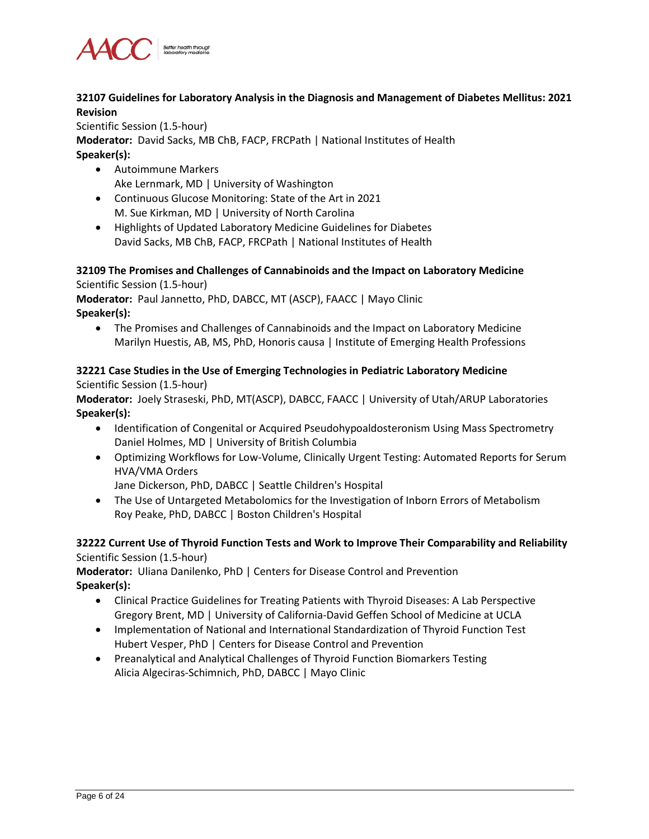

#### **32107 Guidelines for Laboratory Analysis in the Diagnosis and Management of Diabetes Mellitus: 2021 Revision**

Scientific Session (1.5-hour) **Moderator:** David Sacks, MB ChB, FACP, FRCPath | National Institutes of Health **Speaker(s):**

- Autoimmune Markers Ake Lernmark, MD | University of Washington
- Continuous Glucose Monitoring: State of the Art in 2021 M. Sue Kirkman, MD | University of North Carolina
- Highlights of Updated Laboratory Medicine Guidelines for Diabetes David Sacks, MB ChB, FACP, FRCPath | National Institutes of Health

#### **32109 The Promises and Challenges of Cannabinoids and the Impact on Laboratory Medicine** Scientific Session (1.5-hour)

**Moderator:** Paul Jannetto, PhD, DABCC, MT (ASCP), FAACC | Mayo Clinic **Speaker(s):**

• The Promises and Challenges of Cannabinoids and the Impact on Laboratory Medicine Marilyn Huestis, AB, MS, PhD, Honoris causa | Institute of Emerging Health Professions

# **32221 Case Studies in the Use of Emerging Technologies in Pediatric Laboratory Medicine** Scientific Session (1.5-hour)

**Moderator:** Joely Straseski, PhD, MT(ASCP), DABCC, FAACC | University of Utah/ARUP Laboratories **Speaker(s):**

- Identification of Congenital or Acquired Pseudohypoaldosteronism Using Mass Spectrometry Daniel Holmes, MD | University of British Columbia
- Optimizing Workflows for Low-Volume, Clinically Urgent Testing: Automated Reports for Serum HVA/VMA Orders

Jane Dickerson, PhD, DABCC | Seattle Children's Hospital

• The Use of Untargeted Metabolomics for the Investigation of Inborn Errors of Metabolism Roy Peake, PhD, DABCC | Boston Children's Hospital

# **32222 Current Use of Thyroid Function Tests and Work to Improve Their Comparability and Reliability** Scientific Session (1.5-hour)

**Moderator:** Uliana Danilenko, PhD | Centers for Disease Control and Prevention **Speaker(s):**

- Clinical Practice Guidelines for Treating Patients with Thyroid Diseases: A Lab Perspective Gregory Brent, MD | University of California-David Geffen School of Medicine at UCLA
- Implementation of National and International Standardization of Thyroid Function Test Hubert Vesper, PhD | Centers for Disease Control and Prevention
- Preanalytical and Analytical Challenges of Thyroid Function Biomarkers Testing Alicia Algeciras-Schimnich, PhD, DABCC | Mayo Clinic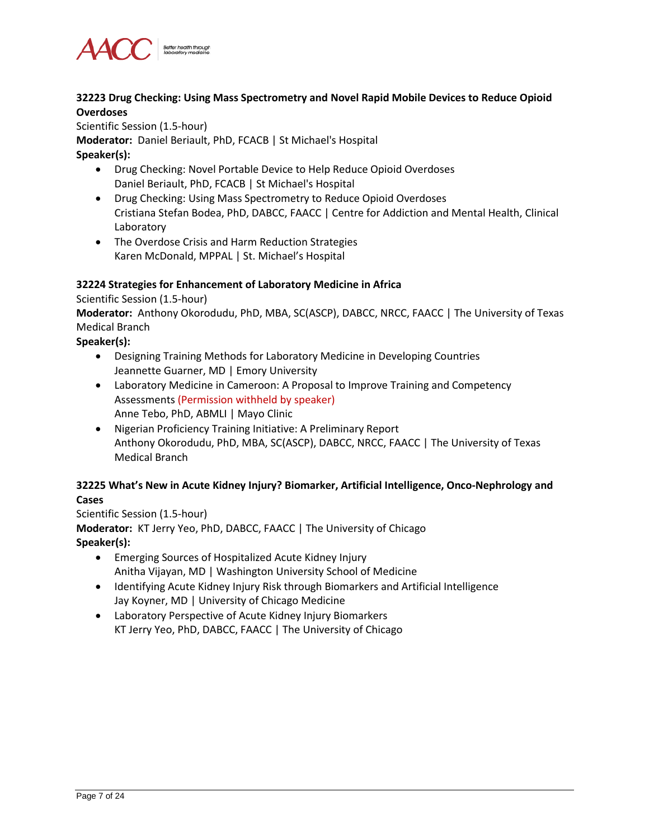

#### **32223 Drug Checking: Using Mass Spectrometry and Novel Rapid Mobile Devices to Reduce Opioid Overdoses**

Scientific Session (1.5-hour) **Moderator:** Daniel Beriault, PhD, FCACB | St Michael's Hospital **Speaker(s):**

- Drug Checking: Novel Portable Device to Help Reduce Opioid Overdoses Daniel Beriault, PhD, FCACB | St Michael's Hospital
- Drug Checking: Using Mass Spectrometry to Reduce Opioid Overdoses Cristiana Stefan Bodea, PhD, DABCC, FAACC | Centre for Addiction and Mental Health, Clinical Laboratory
- The Overdose Crisis and Harm Reduction Strategies Karen McDonald, MPPAL | St. Michael's Hospital

#### **32224 Strategies for Enhancement of Laboratory Medicine in Africa**

Scientific Session (1.5-hour)

**Moderator:** Anthony Okorodudu, PhD, MBA, SC(ASCP), DABCC, NRCC, FAACC | The University of Texas Medical Branch

#### **Speaker(s):**

- Designing Training Methods for Laboratory Medicine in Developing Countries Jeannette Guarner, MD | Emory University
- Laboratory Medicine in Cameroon: A Proposal to Improve Training and Competency Assessments (Permission withheld by speaker) Anne Tebo, PhD, ABMLI | Mayo Clinic
- Nigerian Proficiency Training Initiative: A Preliminary Report Anthony Okorodudu, PhD, MBA, SC(ASCP), DABCC, NRCC, FAACC | The University of Texas Medical Branch

# **32225 What's New in Acute Kidney Injury? Biomarker, Artificial Intelligence, Onco-Nephrology and Cases**

Scientific Session (1.5-hour) **Moderator:** KT Jerry Yeo, PhD, DABCC, FAACC | The University of Chicago **Speaker(s):**

- Emerging Sources of Hospitalized Acute Kidney Injury Anitha Vijayan, MD | Washington University School of Medicine
- Identifying Acute Kidney Injury Risk through Biomarkers and Artificial Intelligence Jay Koyner, MD | University of Chicago Medicine
- Laboratory Perspective of Acute Kidney Injury Biomarkers KT Jerry Yeo, PhD, DABCC, FAACC | The University of Chicago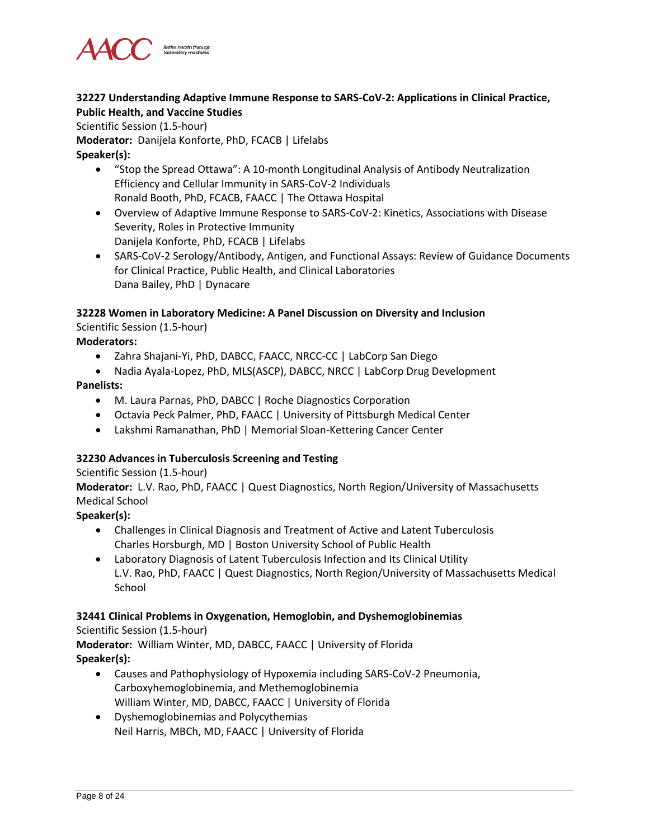

#### **32227 Understanding Adaptive Immune Response to SARS-CoV-2: Applications in Clinical Practice, Public Health, and Vaccine Studies**

Scientific Session (1.5-hour)

**Moderator:** Danijela Konforte, PhD, FCACB | Lifelabs **Speaker(s):**

- "Stop the Spread Ottawa": A 10-month Longitudinal Analysis of Antibody Neutralization Efficiency and Cellular Immunity in SARS-CoV-2 Individuals Ronald Booth, PhD, FCACB, FAACC | The Ottawa Hospital
- Overview of Adaptive Immune Response to SARS-CoV-2: Kinetics, Associations with Disease Severity, Roles in Protective Immunity Danijela Konforte, PhD, FCACB | Lifelabs
- SARS-CoV-2 Serology/Antibody, Antigen, and Functional Assays: Review of Guidance Documents for Clinical Practice, Public Health, and Clinical Laboratories Dana Bailey, PhD | Dynacare

#### **32228 Women in Laboratory Medicine: A Panel Discussion on Diversity and Inclusion**

Scientific Session (1.5-hour)

#### **Moderators:**

- Zahra Shajani-Yi, PhD, DABCC, FAACC, NRCC-CC | LabCorp San Diego
- Nadia Ayala-Lopez, PhD, MLS(ASCP), DABCC, NRCC | LabCorp Drug Development

#### **Panelists:**

- M. Laura Parnas, PhD, DABCC | Roche Diagnostics Corporation
- Octavia Peck Palmer, PhD, FAACC | University of Pittsburgh Medical Center
- Lakshmi Ramanathan, PhD | Memorial Sloan-Kettering Cancer Center

#### **32230 Advances in Tuberculosis Screening and Testing**

#### Scientific Session (1.5-hour)

**Moderator:** L.V. Rao, PhD, FAACC | Quest Diagnostics, North Region/University of Massachusetts Medical School

#### **Speaker(s):**

- Challenges in Clinical Diagnosis and Treatment of Active and Latent Tuberculosis Charles Horsburgh, MD | Boston University School of Public Health
- Laboratory Diagnosis of Latent Tuberculosis Infection and Its Clinical Utility L.V. Rao, PhD, FAACC | Quest Diagnostics, North Region/University of Massachusetts Medical **School**

#### **32441 Clinical Problems in Oxygenation, Hemoglobin, and Dyshemoglobinemias**

#### Scientific Session (1.5-hour)

**Moderator:** William Winter, MD, DABCC, FAACC | University of Florida **Speaker(s):**

- Causes and Pathophysiology of Hypoxemia including SARS-CoV-2 Pneumonia, Carboxyhemoglobinemia, and Methemoglobinemia William Winter, MD, DABCC, FAACC | University of Florida
- Dyshemoglobinemias and Polycythemias Neil Harris, MBCh, MD, FAACC | University of Florida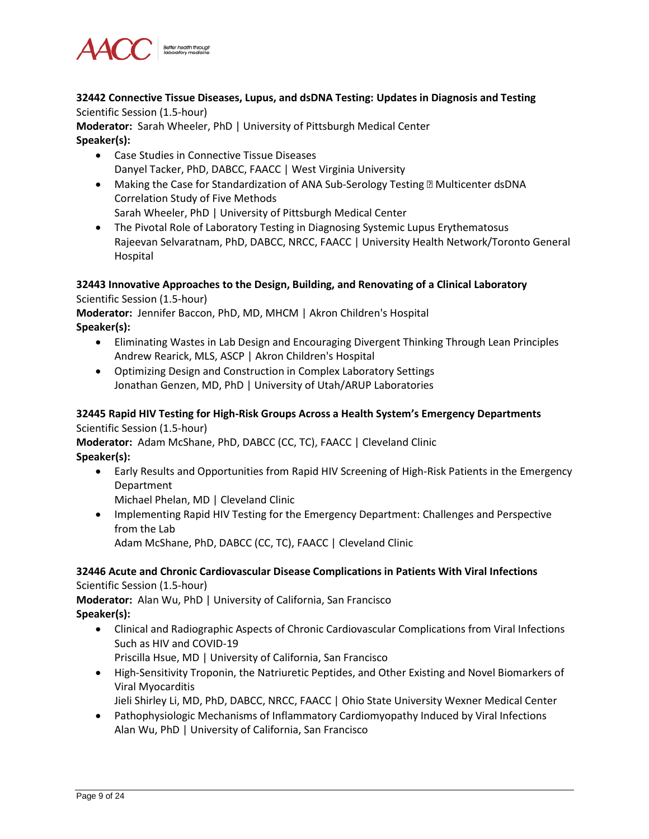

**32442 Connective Tissue Diseases, Lupus, and dsDNA Testing: Updates in Diagnosis and Testing** Scientific Session (1.5-hour)

**Moderator:** Sarah Wheeler, PhD | University of Pittsburgh Medical Center **Speaker(s):**

- Case Studies in Connective Tissue Diseases Danyel Tacker, PhD, DABCC, FAACC | West Virginia University
- Making the Case for Standardization of ANA Sub-Serology Testing Multicenter dsDNA Correlation Study of Five Methods Sarah Wheeler, PhD | University of Pittsburgh Medical Center
- The Pivotal Role of Laboratory Testing in Diagnosing Systemic Lupus Erythematosus Rajeevan Selvaratnam, PhD, DABCC, NRCC, FAACC | University Health Network/Toronto General Hospital

# **32443 Innovative Approaches to the Design, Building, and Renovating of a Clinical Laboratory**

Scientific Session (1.5-hour)

**Moderator:** Jennifer Baccon, PhD, MD, MHCM | Akron Children's Hospital **Speaker(s):**

- Eliminating Wastes in Lab Design and Encouraging Divergent Thinking Through Lean Principles Andrew Rearick, MLS, ASCP | Akron Children's Hospital
- Optimizing Design and Construction in Complex Laboratory Settings Jonathan Genzen, MD, PhD | University of Utah/ARUP Laboratories

# **32445 Rapid HIV Testing for High-Risk Groups Across a Health System's Emergency Departments** Scientific Session (1.5-hour)

**Moderator:** Adam McShane, PhD, DABCC (CC, TC), FAACC | Cleveland Clinic **Speaker(s):**

• Early Results and Opportunities from Rapid HIV Screening of High-Risk Patients in the Emergency Department

Michael Phelan, MD | Cleveland Clinic

• Implementing Rapid HIV Testing for the Emergency Department: Challenges and Perspective from the Lab

Adam McShane, PhD, DABCC (CC, TC), FAACC | Cleveland Clinic

#### **32446 Acute and Chronic Cardiovascular Disease Complications in Patients With Viral Infections** Scientific Session (1.5-hour)

**Moderator:** Alan Wu, PhD | University of California, San Francisco **Speaker(s):**

- Clinical and Radiographic Aspects of Chronic Cardiovascular Complications from Viral Infections Such as HIV and COVID-19
	- Priscilla Hsue, MD | University of California, San Francisco
- High-Sensitivity Troponin, the Natriuretic Peptides, and Other Existing and Novel Biomarkers of Viral Myocarditis

Jieli Shirley Li, MD, PhD, DABCC, NRCC, FAACC | Ohio State University Wexner Medical Center

• Pathophysiologic Mechanisms of Inflammatory Cardiomyopathy Induced by Viral Infections Alan Wu, PhD | University of California, San Francisco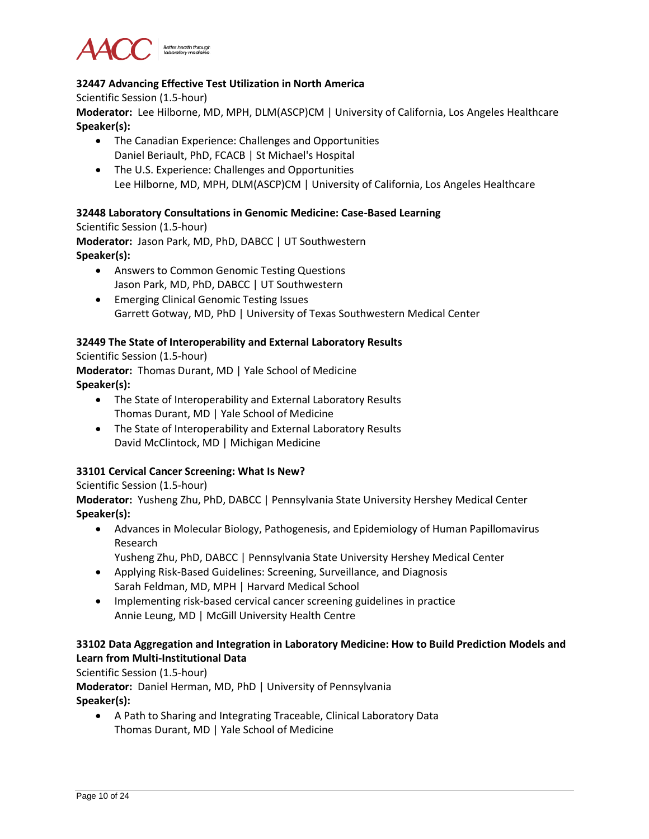

# **32447 Advancing Effective Test Utilization in North America**

Scientific Session (1.5-hour)

**Moderator:** Lee Hilborne, MD, MPH, DLM(ASCP)CM | University of California, Los Angeles Healthcare **Speaker(s):**

- The Canadian Experience: Challenges and Opportunities Daniel Beriault, PhD, FCACB | St Michael's Hospital
- The U.S. Experience: Challenges and Opportunities Lee Hilborne, MD, MPH, DLM(ASCP)CM | University of California, Los Angeles Healthcare

#### **32448 Laboratory Consultations in Genomic Medicine: Case-Based Learning**

Scientific Session (1.5-hour) **Moderator:** Jason Park, MD, PhD, DABCC | UT Southwestern **Speaker(s):**

- Answers to Common Genomic Testing Questions Jason Park, MD, PhD, DABCC | UT Southwestern
- Emerging Clinical Genomic Testing Issues Garrett Gotway, MD, PhD | University of Texas Southwestern Medical Center

#### **32449 The State of Interoperability and External Laboratory Results**

Scientific Session (1.5-hour)

**Moderator:** Thomas Durant, MD | Yale School of Medicine **Speaker(s):**

- The State of Interoperability and External Laboratory Results Thomas Durant, MD | Yale School of Medicine
- The State of Interoperability and External Laboratory Results David McClintock, MD | Michigan Medicine

# **33101 Cervical Cancer Screening: What Is New?**

# Scientific Session (1.5-hour)

**Moderator:** Yusheng Zhu, PhD, DABCC | Pennsylvania State University Hershey Medical Center **Speaker(s):**

• Advances in Molecular Biology, Pathogenesis, and Epidemiology of Human Papillomavirus Research

Yusheng Zhu, PhD, DABCC | Pennsylvania State University Hershey Medical Center

- Applying Risk-Based Guidelines: Screening, Surveillance, and Diagnosis Sarah Feldman, MD, MPH | Harvard Medical School
- Implementing risk-based cervical cancer screening guidelines in practice Annie Leung, MD | McGill University Health Centre

# **33102 Data Aggregation and Integration in Laboratory Medicine: How to Build Prediction Models and Learn from Multi-Institutional Data**

Scientific Session (1.5-hour)

**Moderator:** Daniel Herman, MD, PhD | University of Pennsylvania **Speaker(s):**

• A Path to Sharing and Integrating Traceable, Clinical Laboratory Data Thomas Durant, MD | Yale School of Medicine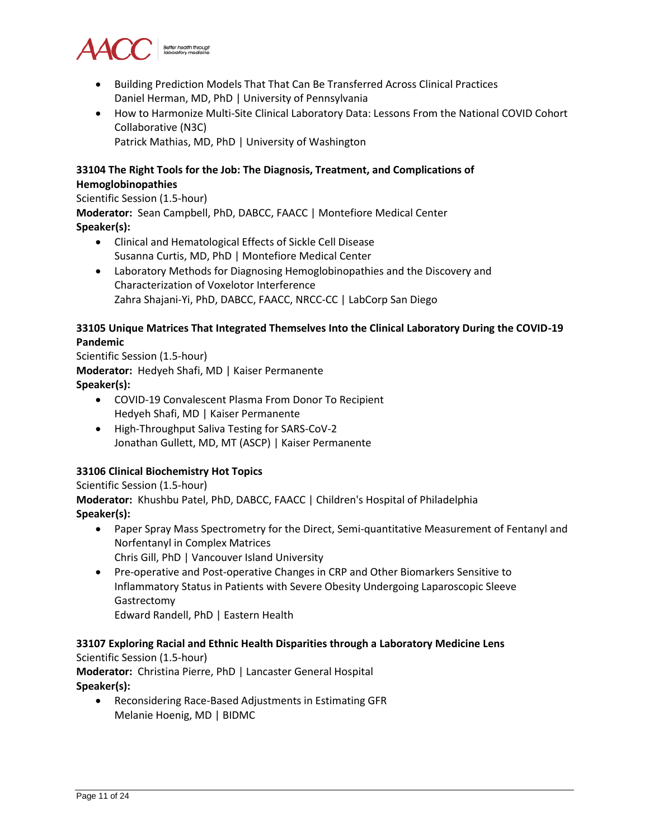

- Building Prediction Models That That Can Be Transferred Across Clinical Practices Daniel Herman, MD, PhD | University of Pennsylvania
- How to Harmonize Multi-Site Clinical Laboratory Data: Lessons From the National COVID Cohort Collaborative (N3C) Patrick Mathias, MD, PhD | University of Washington

# **33104 The Right Tools for the Job: The Diagnosis, Treatment, and Complications of Hemoglobinopathies**

Scientific Session (1.5-hour)

**Moderator:** Sean Campbell, PhD, DABCC, FAACC | Montefiore Medical Center **Speaker(s):**

- Clinical and Hematological Effects of Sickle Cell Disease Susanna Curtis, MD, PhD | Montefiore Medical Center
- Laboratory Methods for Diagnosing Hemoglobinopathies and the Discovery and Characterization of Voxelotor Interference Zahra Shajani-Yi, PhD, DABCC, FAACC, NRCC-CC | LabCorp San Diego

#### **33105 Unique Matrices That Integrated Themselves Into the Clinical Laboratory During the COVID-19 Pandemic**

Scientific Session (1.5-hour) **Moderator:** Hedyeh Shafi, MD | Kaiser Permanente **Speaker(s):**

- COVID-19 Convalescent Plasma From Donor To Recipient Hedyeh Shafi, MD | Kaiser Permanente
- High-Throughput Saliva Testing for SARS-CoV-2 Jonathan Gullett, MD, MT (ASCP) | Kaiser Permanente

# **33106 Clinical Biochemistry Hot Topics**

Scientific Session (1.5-hour)

**Moderator:** Khushbu Patel, PhD, DABCC, FAACC | Children's Hospital of Philadelphia **Speaker(s):**

- Paper Spray Mass Spectrometry for the Direct, Semi-quantitative Measurement of Fentanyl and Norfentanyl in Complex Matrices Chris Gill, PhD | Vancouver Island University
- Pre-operative and Post-operative Changes in CRP and Other Biomarkers Sensitive to Inflammatory Status in Patients with Severe Obesity Undergoing Laparoscopic Sleeve Gastrectomy Edward Randell, PhD | Eastern Health

# **33107 Exploring Racial and Ethnic Health Disparities through a Laboratory Medicine Lens**

Scientific Session (1.5-hour) **Moderator:** Christina Pierre, PhD | Lancaster General Hospital **Speaker(s):**

• Reconsidering Race-Based Adjustments in Estimating GFR Melanie Hoenig, MD | BIDMC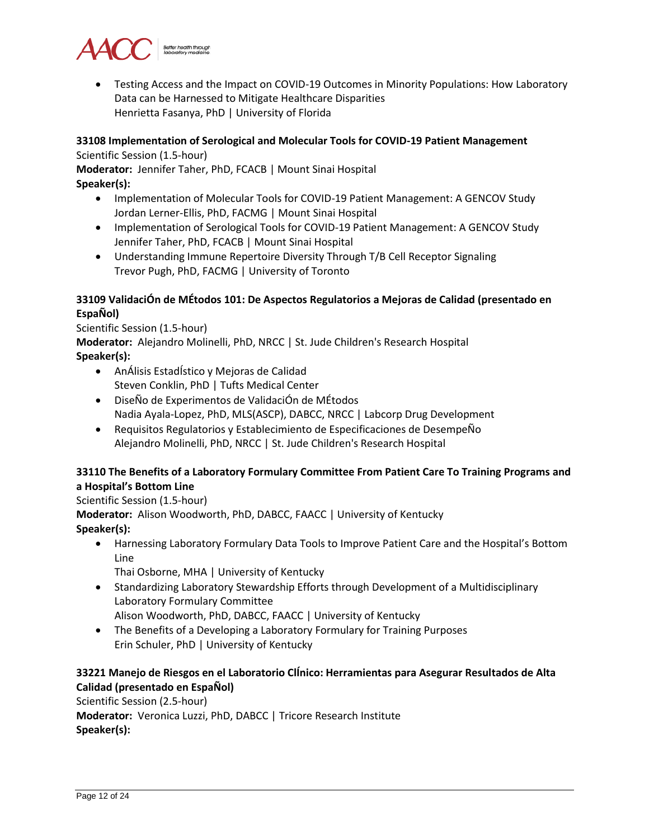

• Testing Access and the Impact on COVID-19 Outcomes in Minority Populations: How Laboratory Data can be Harnessed to Mitigate Healthcare Disparities Henrietta Fasanya, PhD | University of Florida

# **33108 Implementation of Serological and Molecular Tools for COVID-19 Patient Management**

Scientific Session (1.5-hour)

**Moderator:** Jennifer Taher, PhD, FCACB | Mount Sinai Hospital

**Speaker(s):**

- Implementation of Molecular Tools for COVID-19 Patient Management: A GENCOV Study Jordan Lerner-Ellis, PhD, FACMG | Mount Sinai Hospital
- Implementation of Serological Tools for COVID-19 Patient Management: A GENCOV Study Jennifer Taher, PhD, FCACB | Mount Sinai Hospital
- Understanding Immune Repertoire Diversity Through T/B Cell Receptor Signaling Trevor Pugh, PhD, FACMG | University of Toronto

# **33109 ValidaciÓn de MÉtodos 101: De Aspectos Regulatorios a Mejoras de Calidad (presentado en EspaÑol)**

Scientific Session (1.5-hour) **Moderator:** Alejandro Molinelli, PhD, NRCC | St. Jude Children's Research Hospital **Speaker(s):**

- AnÁlisis EstadÍstico y Mejoras de Calidad Steven Conklin, PhD | Tufts Medical Center
- DiseÑo de Experimentos de ValidaciÓn de MÉtodos Nadia Ayala-Lopez, PhD, MLS(ASCP), DABCC, NRCC | Labcorp Drug Development
- Requisitos Regulatorios y Establecimiento de Especificaciones de DesempeÑo Alejandro Molinelli, PhD, NRCC | St. Jude Children's Research Hospital

# **33110 The Benefits of a Laboratory Formulary Committee From Patient Care To Training Programs and a Hospital's Bottom Line**

Scientific Session (1.5-hour)

**Moderator:** Alison Woodworth, PhD, DABCC, FAACC | University of Kentucky **Speaker(s):**

- Harnessing Laboratory Formulary Data Tools to Improve Patient Care and the Hospital's Bottom Line
	- Thai Osborne, MHA | University of Kentucky
- Standardizing Laboratory Stewardship Efforts through Development of a Multidisciplinary Laboratory Formulary Committee

Alison Woodworth, PhD, DABCC, FAACC | University of Kentucky

• The Benefits of a Developing a Laboratory Formulary for Training Purposes Erin Schuler, PhD | University of Kentucky

# **33221 Manejo de Riesgos en el Laboratorio ClÍnico: Herramientas para Asegurar Resultados de Alta Calidad (presentado en EspaÑol)**

Scientific Session (2.5-hour) **Moderator:** Veronica Luzzi, PhD, DABCC | Tricore Research Institute **Speaker(s):**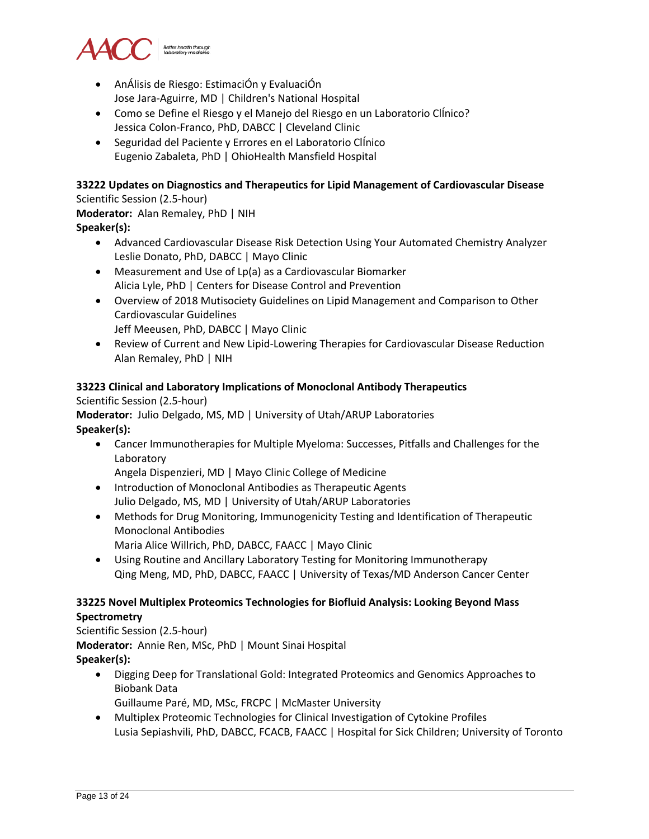

- AnÁlisis de Riesgo: EstimaciÓn y EvaluaciÓn Jose Jara-Aguirre, MD | Children's National Hospital
- Como se Define el Riesgo y el Manejo del Riesgo en un Laboratorio ClÍnico? Jessica Colon-Franco, PhD, DABCC | Cleveland Clinic
- Seguridad del Paciente y Errores en el Laboratorio ClÍnico Eugenio Zabaleta, PhD | OhioHealth Mansfield Hospital

#### **33222 Updates on Diagnostics and Therapeutics for Lipid Management of Cardiovascular Disease**

Scientific Session (2.5-hour) **Moderator:** Alan Remaley, PhD | NIH

**Speaker(s):**

- Advanced Cardiovascular Disease Risk Detection Using Your Automated Chemistry Analyzer Leslie Donato, PhD, DABCC | Mayo Clinic
- Measurement and Use of Lp(a) as a Cardiovascular Biomarker Alicia Lyle, PhD | Centers for Disease Control and Prevention
- Overview of 2018 Mutisociety Guidelines on Lipid Management and Comparison to Other Cardiovascular Guidelines Jeff Meeusen, PhD, DABCC | Mayo Clinic
- Review of Current and New Lipid-Lowering Therapies for Cardiovascular Disease Reduction Alan Remaley, PhD | NIH

#### **33223 Clinical and Laboratory Implications of Monoclonal Antibody Therapeutics**

Scientific Session (2.5-hour)

**Moderator:** Julio Delgado, MS, MD | University of Utah/ARUP Laboratories **Speaker(s):**

• Cancer Immunotherapies for Multiple Myeloma: Successes, Pitfalls and Challenges for the Laboratory

Angela Dispenzieri, MD | Mayo Clinic College of Medicine

- Introduction of Monoclonal Antibodies as Therapeutic Agents Julio Delgado, MS, MD | University of Utah/ARUP Laboratories
- Methods for Drug Monitoring, Immunogenicity Testing and Identification of Therapeutic Monoclonal Antibodies
	- Maria Alice Willrich, PhD, DABCC, FAACC | Mayo Clinic
- Using Routine and Ancillary Laboratory Testing for Monitoring Immunotherapy Qing Meng, MD, PhD, DABCC, FAACC | University of Texas/MD Anderson Cancer Center

# **33225 Novel Multiplex Proteomics Technologies for Biofluid Analysis: Looking Beyond Mass Spectrometry**

Scientific Session (2.5-hour) **Moderator:** Annie Ren, MSc, PhD | Mount Sinai Hospital **Speaker(s):**

- Digging Deep for Translational Gold: Integrated Proteomics and Genomics Approaches to Biobank Data
	- Guillaume Paré, MD, MSc, FRCPC | McMaster University
- Multiplex Proteomic Technologies for Clinical Investigation of Cytokine Profiles Lusia Sepiashvili, PhD, DABCC, FCACB, FAACC | Hospital for Sick Children; University of Toronto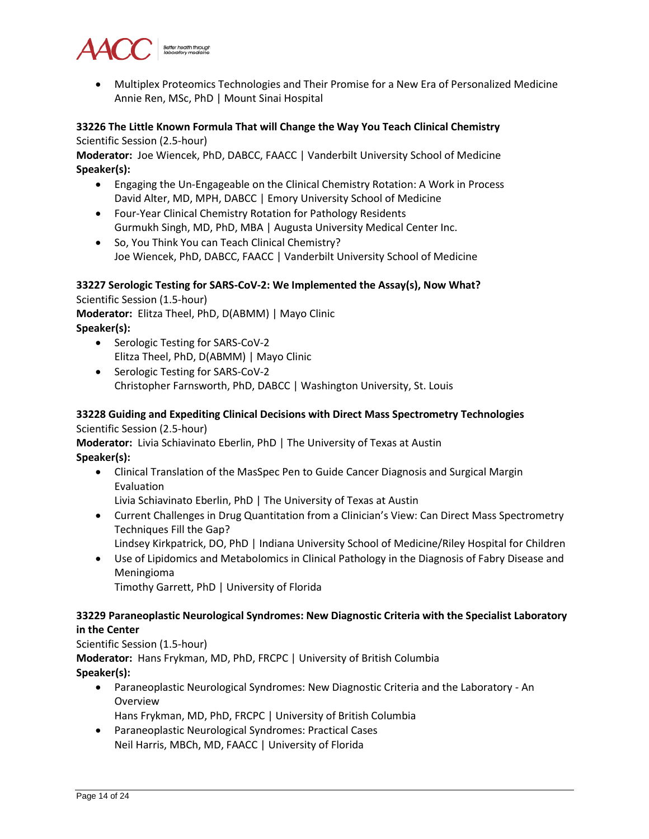

• Multiplex Proteomics Technologies and Their Promise for a New Era of Personalized Medicine Annie Ren, MSc, PhD | Mount Sinai Hospital

# **33226 The Little Known Formula That will Change the Way You Teach Clinical Chemistry**

Scientific Session (2.5-hour)

**Moderator:** Joe Wiencek, PhD, DABCC, FAACC | Vanderbilt University School of Medicine **Speaker(s):**

- Engaging the Un-Engageable on the Clinical Chemistry Rotation: A Work in Process David Alter, MD, MPH, DABCC | Emory University School of Medicine
- Four-Year Clinical Chemistry Rotation for Pathology Residents Gurmukh Singh, MD, PhD, MBA | Augusta University Medical Center Inc.
- So, You Think You can Teach Clinical Chemistry? Joe Wiencek, PhD, DABCC, FAACC | Vanderbilt University School of Medicine

# **33227 Serologic Testing for SARS-CoV-2: We Implemented the Assay(s), Now What?**

Scientific Session (1.5-hour)

**Moderator:** Elitza Theel, PhD, D(ABMM) | Mayo Clinic **Speaker(s):**

- Serologic Testing for SARS-CoV-2 Elitza Theel, PhD, D(ABMM) | Mayo Clinic
- Serologic Testing for SARS-CoV-2 Christopher Farnsworth, PhD, DABCC | Washington University, St. Louis

# **33228 Guiding and Expediting Clinical Decisions with Direct Mass Spectrometry Technologies** Scientific Session (2.5-hour)

**Moderator:** Livia Schiavinato Eberlin, PhD | The University of Texas at Austin **Speaker(s):**

• Clinical Translation of the MasSpec Pen to Guide Cancer Diagnosis and Surgical Margin Evaluation

Livia Schiavinato Eberlin, PhD | The University of Texas at Austin

• Current Challenges in Drug Quantitation from a Clinician's View: Can Direct Mass Spectrometry Techniques Fill the Gap?

Lindsey Kirkpatrick, DO, PhD | Indiana University School of Medicine/Riley Hospital for Children

• Use of Lipidomics and Metabolomics in Clinical Pathology in the Diagnosis of Fabry Disease and Meningioma

Timothy Garrett, PhD | University of Florida

# **33229 Paraneoplastic Neurological Syndromes: New Diagnostic Criteria with the Specialist Laboratory in the Center**

Scientific Session (1.5-hour) **Moderator:** Hans Frykman, MD, PhD, FRCPC | University of British Columbia **Speaker(s):**

- Paraneoplastic Neurological Syndromes: New Diagnostic Criteria and the Laboratory An Overview
	- Hans Frykman, MD, PhD, FRCPC | University of British Columbia
- Paraneoplastic Neurological Syndromes: Practical Cases Neil Harris, MBCh, MD, FAACC | University of Florida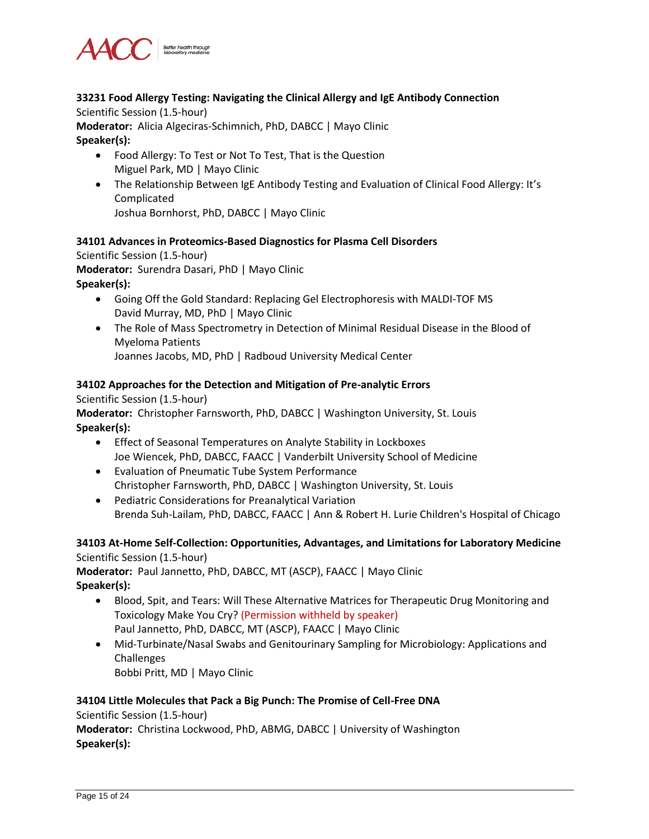

# **33231 Food Allergy Testing: Navigating the Clinical Allergy and IgE Antibody Connection**

Scientific Session (1.5-hour)

**Moderator:** Alicia Algeciras-Schimnich, PhD, DABCC | Mayo Clinic **Speaker(s):**

- Food Allergy: To Test or Not To Test, That is the Question Miguel Park, MD | Mayo Clinic
- The Relationship Between IgE Antibody Testing and Evaluation of Clinical Food Allergy: It's Complicated

Joshua Bornhorst, PhD, DABCC | Mayo Clinic

#### **34101 Advances in Proteomics-Based Diagnostics for Plasma Cell Disorders**

Scientific Session (1.5-hour)

**Moderator:** Surendra Dasari, PhD | Mayo Clinic

**Speaker(s):**

- Going Off the Gold Standard: Replacing Gel Electrophoresis with MALDI-TOF MS David Murray, MD, PhD | Mayo Clinic
- The Role of Mass Spectrometry in Detection of Minimal Residual Disease in the Blood of Myeloma Patients

Joannes Jacobs, MD, PhD | Radboud University Medical Center

#### **34102 Approaches for the Detection and Mitigation of Pre-analytic Errors**

Scientific Session (1.5-hour)

**Moderator:** Christopher Farnsworth, PhD, DABCC | Washington University, St. Louis **Speaker(s):**

- Effect of Seasonal Temperatures on Analyte Stability in Lockboxes Joe Wiencek, PhD, DABCC, FAACC | Vanderbilt University School of Medicine
- Evaluation of Pneumatic Tube System Performance Christopher Farnsworth, PhD, DABCC | Washington University, St. Louis
- Pediatric Considerations for Preanalytical Variation Brenda Suh-Lailam, PhD, DABCC, FAACC | Ann & Robert H. Lurie Children's Hospital of Chicago

# **34103 At-Home Self-Collection: Opportunities, Advantages, and Limitations for Laboratory Medicine** Scientific Session (1.5-hour)

**Moderator:** Paul Jannetto, PhD, DABCC, MT (ASCP), FAACC | Mayo Clinic **Speaker(s):**

- Blood, Spit, and Tears: Will These Alternative Matrices for Therapeutic Drug Monitoring and Toxicology Make You Cry? (Permission withheld by speaker) Paul Jannetto, PhD, DABCC, MT (ASCP), FAACC | Mayo Clinic
- Mid-Turbinate/Nasal Swabs and Genitourinary Sampling for Microbiology: Applications and Challenges Bobbi Pritt, MD | Mayo Clinic

# **34104 Little Molecules that Pack a Big Punch: The Promise of Cell-Free DNA**

Scientific Session (1.5-hour) **Moderator:** Christina Lockwood, PhD, ABMG, DABCC | University of Washington **Speaker(s):**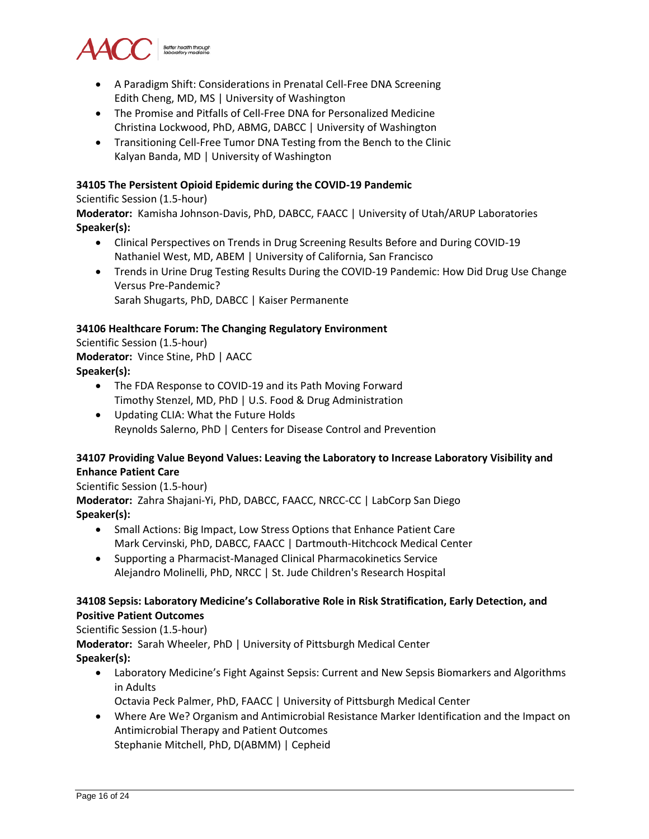

- A Paradigm Shift: Considerations in Prenatal Cell-Free DNA Screening Edith Cheng, MD, MS | University of Washington
- The Promise and Pitfalls of Cell-Free DNA for Personalized Medicine Christina Lockwood, PhD, ABMG, DABCC | University of Washington
- Transitioning Cell-Free Tumor DNA Testing from the Bench to the Clinic Kalyan Banda, MD | University of Washington

#### **34105 The Persistent Opioid Epidemic during the COVID-19 Pandemic**

#### Scientific Session (1.5-hour)

**Moderator:** Kamisha Johnson-Davis, PhD, DABCC, FAACC | University of Utah/ARUP Laboratories **Speaker(s):**

- Clinical Perspectives on Trends in Drug Screening Results Before and During COVID-19 Nathaniel West, MD, ABEM | University of California, San Francisco
- Trends in Urine Drug Testing Results During the COVID-19 Pandemic: How Did Drug Use Change Versus Pre-Pandemic? Sarah Shugarts, PhD, DABCC | Kaiser Permanente

#### **34106 Healthcare Forum: The Changing Regulatory Environment** Scientific Session (1.5-hour)

**Moderator:** Vince Stine, PhD | AACC **Speaker(s):**

- The FDA Response to COVID-19 and its Path Moving Forward Timothy Stenzel, MD, PhD | U.S. Food & Drug Administration
- Updating CLIA: What the Future Holds Reynolds Salerno, PhD | Centers for Disease Control and Prevention

# **34107 Providing Value Beyond Values: Leaving the Laboratory to Increase Laboratory Visibility and Enhance Patient Care**

# Scientific Session (1.5-hour)

**Moderator:** Zahra Shajani-Yi, PhD, DABCC, FAACC, NRCC-CC | LabCorp San Diego **Speaker(s):**

- Small Actions: Big Impact, Low Stress Options that Enhance Patient Care Mark Cervinski, PhD, DABCC, FAACC | Dartmouth-Hitchcock Medical Center
- Supporting a Pharmacist-Managed Clinical Pharmacokinetics Service Alejandro Molinelli, PhD, NRCC | St. Jude Children's Research Hospital

#### **34108 Sepsis: Laboratory Medicine's Collaborative Role in Risk Stratification, Early Detection, and Positive Patient Outcomes**

# Scientific Session (1.5-hour)

**Moderator:** Sarah Wheeler, PhD | University of Pittsburgh Medical Center **Speaker(s):**

- Laboratory Medicine's Fight Against Sepsis: Current and New Sepsis Biomarkers and Algorithms in Adults
	- Octavia Peck Palmer, PhD, FAACC | University of Pittsburgh Medical Center
- Where Are We? Organism and Antimicrobial Resistance Marker Identification and the Impact on Antimicrobial Therapy and Patient Outcomes Stephanie Mitchell, PhD, D(ABMM) | Cepheid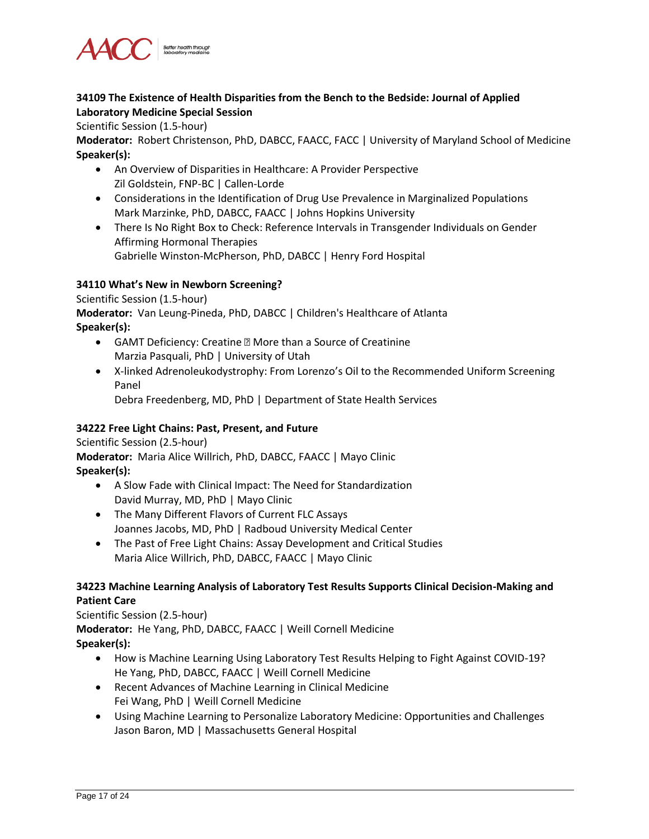

#### **34109 The Existence of Health Disparities from the Bench to the Bedside: Journal of Applied Laboratory Medicine Special Session**

Scientific Session (1.5-hour)

**Moderator:** Robert Christenson, PhD, DABCC, FAACC, FACC | University of Maryland School of Medicine **Speaker(s):**

- An Overview of Disparities in Healthcare: A Provider Perspective Zil Goldstein, FNP-BC | Callen-Lorde
- Considerations in the Identification of Drug Use Prevalence in Marginalized Populations Mark Marzinke, PhD, DABCC, FAACC | Johns Hopkins University
- There Is No Right Box to Check: Reference Intervals in Transgender Individuals on Gender Affirming Hormonal Therapies Gabrielle Winston-McPherson, PhD, DABCC | Henry Ford Hospital

#### **34110 What's New in Newborn Screening?**

Scientific Session (1.5-hour)

**Moderator:** Van Leung-Pineda, PhD, DABCC | Children's Healthcare of Atlanta **Speaker(s):**

- GAMT Deficiency: Creatine More than a Source of Creatinine Marzia Pasquali, PhD | University of Utah
- X-linked Adrenoleukodystrophy: From Lorenzo's Oil to the Recommended Uniform Screening Panel

Debra Freedenberg, MD, PhD | Department of State Health Services

# **34222 Free Light Chains: Past, Present, and Future**

Scientific Session (2.5-hour) **Moderator:** Maria Alice Willrich, PhD, DABCC, FAACC | Mayo Clinic **Speaker(s):**

- A Slow Fade with Clinical Impact: The Need for Standardization David Murray, MD, PhD | Mayo Clinic
- The Many Different Flavors of Current FLC Assays Joannes Jacobs, MD, PhD | Radboud University Medical Center
- The Past of Free Light Chains: Assay Development and Critical Studies Maria Alice Willrich, PhD, DABCC, FAACC | Mayo Clinic

# **34223 Machine Learning Analysis of Laboratory Test Results Supports Clinical Decision-Making and Patient Care**

Scientific Session (2.5-hour) **Moderator:** He Yang, PhD, DABCC, FAACC | Weill Cornell Medicine **Speaker(s):**

- How is Machine Learning Using Laboratory Test Results Helping to Fight Against COVID-19? He Yang, PhD, DABCC, FAACC | Weill Cornell Medicine
- Recent Advances of Machine Learning in Clinical Medicine Fei Wang, PhD | Weill Cornell Medicine
- Using Machine Learning to Personalize Laboratory Medicine: Opportunities and Challenges Jason Baron, MD | Massachusetts General Hospital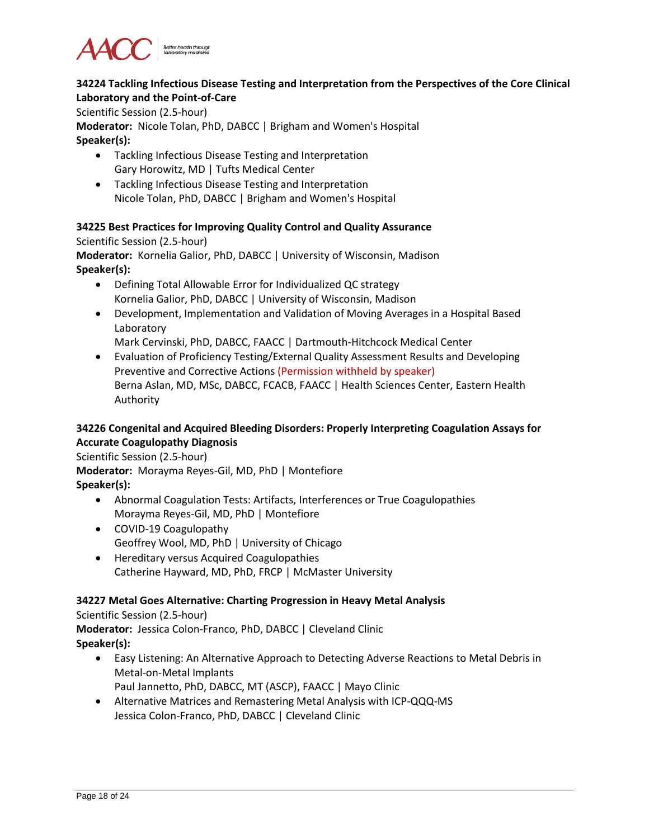

# **34224 Tackling Infectious Disease Testing and Interpretation from the Perspectives of the Core Clinical Laboratory and the Point-of-Care**

Scientific Session (2.5-hour)

**Moderator:** Nicole Tolan, PhD, DABCC | Brigham and Women's Hospital **Speaker(s):**

- Tackling Infectious Disease Testing and Interpretation Gary Horowitz, MD | Tufts Medical Center
- Tackling Infectious Disease Testing and Interpretation Nicole Tolan, PhD, DABCC | Brigham and Women's Hospital

#### **34225 Best Practices for Improving Quality Control and Quality Assurance**

Scientific Session (2.5-hour)

**Moderator:** Kornelia Galior, PhD, DABCC | University of Wisconsin, Madison **Speaker(s):**

- Defining Total Allowable Error for Individualized QC strategy Kornelia Galior, PhD, DABCC | University of Wisconsin, Madison
- Development, Implementation and Validation of Moving Averages in a Hospital Based Laboratory

Mark Cervinski, PhD, DABCC, FAACC | Dartmouth-Hitchcock Medical Center

• Evaluation of Proficiency Testing/External Quality Assessment Results and Developing Preventive and Corrective Actions (Permission withheld by speaker) Berna Aslan, MD, MSc, DABCC, FCACB, FAACC | Health Sciences Center, Eastern Health Authority

# **34226 Congenital and Acquired Bleeding Disorders: Properly Interpreting Coagulation Assays for Accurate Coagulopathy Diagnosis**

Scientific Session (2.5-hour)

**Moderator:** Morayma Reyes-Gil, MD, PhD | Montefiore

**Speaker(s):**

- Abnormal Coagulation Tests: Artifacts, Interferences or True Coagulopathies Morayma Reyes-Gil, MD, PhD | Montefiore
- COVID-19 Coagulopathy Geoffrey Wool, MD, PhD | University of Chicago
- Hereditary versus Acquired Coagulopathies Catherine Hayward, MD, PhD, FRCP | McMaster University

# **34227 Metal Goes Alternative: Charting Progression in Heavy Metal Analysis**

Scientific Session (2.5-hour)

**Moderator:** Jessica Colon-Franco, PhD, DABCC | Cleveland Clinic **Speaker(s):**

- Easy Listening: An Alternative Approach to Detecting Adverse Reactions to Metal Debris in Metal-on-Metal Implants Paul Jannetto, PhD, DABCC, MT (ASCP), FAACC | Mayo Clinic
- Alternative Matrices and Remastering Metal Analysis with ICP-QQQ-MS Jessica Colon-Franco, PhD, DABCC | Cleveland Clinic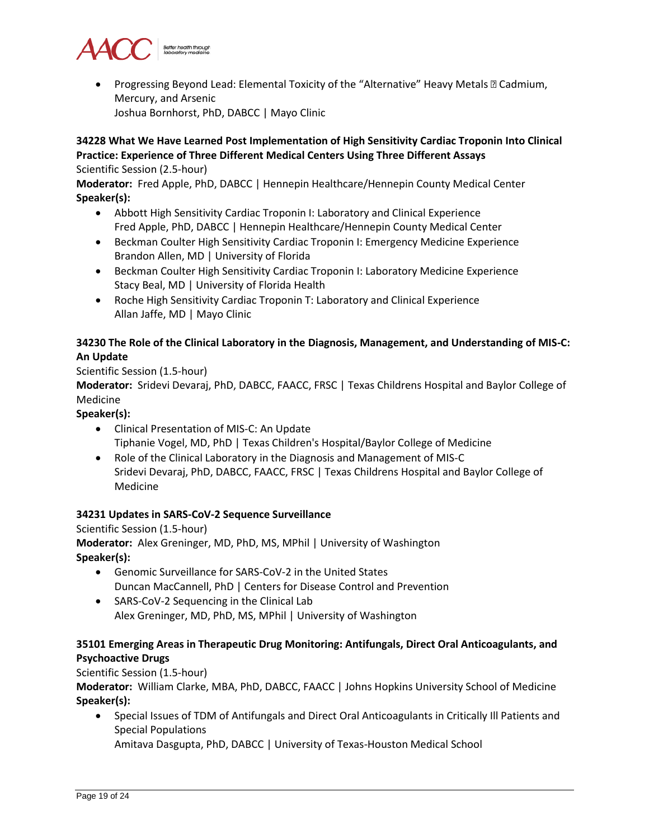

• Progressing Beyond Lead: Elemental Toxicity of the "Alternative" Heavy Metals – Cadmium, Mercury, and Arsenic Joshua Bornhorst, PhD, DABCC | Mayo Clinic

#### **34228 What We Have Learned Post Implementation of High Sensitivity Cardiac Troponin Into Clinical Practice: Experience of Three Different Medical Centers Using Three Different Assays** Scientific Session (2.5-hour)

**Moderator:** Fred Apple, PhD, DABCC | Hennepin Healthcare/Hennepin County Medical Center **Speaker(s):**

- Abbott High Sensitivity Cardiac Troponin I: Laboratory and Clinical Experience Fred Apple, PhD, DABCC | Hennepin Healthcare/Hennepin County Medical Center
- Beckman Coulter High Sensitivity Cardiac Troponin I: Emergency Medicine Experience Brandon Allen, MD | University of Florida
- Beckman Coulter High Sensitivity Cardiac Troponin I: Laboratory Medicine Experience Stacy Beal, MD | University of Florida Health
- Roche High Sensitivity Cardiac Troponin T: Laboratory and Clinical Experience Allan Jaffe, MD | Mayo Clinic

# **34230 The Role of the Clinical Laboratory in the Diagnosis, Management, and Understanding of MIS-C: An Update**

Scientific Session (1.5-hour)

**Moderator:** Sridevi Devaraj, PhD, DABCC, FAACC, FRSC | Texas Childrens Hospital and Baylor College of Medicine

# **Speaker(s):**

- Clinical Presentation of MIS-C: An Update Tiphanie Vogel, MD, PhD | Texas Children's Hospital/Baylor College of Medicine
- Role of the Clinical Laboratory in the Diagnosis and Management of MIS-C Sridevi Devaraj, PhD, DABCC, FAACC, FRSC | Texas Childrens Hospital and Baylor College of Medicine

# **34231 Updates in SARS-CoV-2 Sequence Surveillance**

Scientific Session (1.5-hour) **Moderator:** Alex Greninger, MD, PhD, MS, MPhil | University of Washington **Speaker(s):**

- Genomic Surveillance for SARS-CoV-2 in the United States Duncan MacCannell, PhD | Centers for Disease Control and Prevention
- SARS-CoV-2 Sequencing in the Clinical Lab Alex Greninger, MD, PhD, MS, MPhil | University of Washington

# **35101 Emerging Areas in Therapeutic Drug Monitoring: Antifungals, Direct Oral Anticoagulants, and Psychoactive Drugs**

Scientific Session (1.5-hour)

**Moderator:** William Clarke, MBA, PhD, DABCC, FAACC | Johns Hopkins University School of Medicine **Speaker(s):**

• Special Issues of TDM of Antifungals and Direct Oral Anticoagulants in Critically Ill Patients and Special Populations

Amitava Dasgupta, PhD, DABCC | University of Texas-Houston Medical School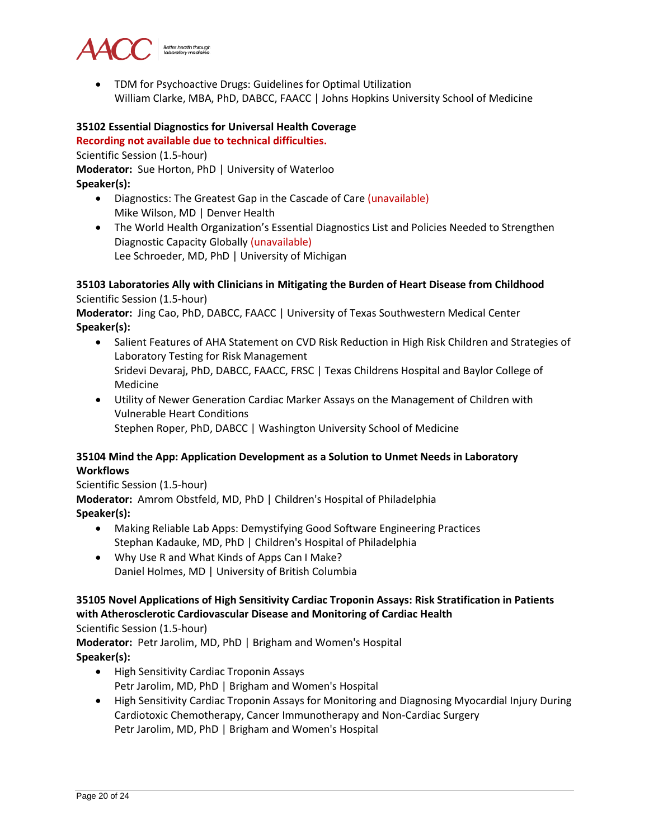

• TDM for Psychoactive Drugs: Guidelines for Optimal Utilization William Clarke, MBA, PhD, DABCC, FAACC | Johns Hopkins University School of Medicine

#### **35102 Essential Diagnostics for Universal Health Coverage**

#### **Recording not available due to technical difficulties.**

Scientific Session (1.5-hour)

**Moderator:** Sue Horton, PhD | University of Waterloo

**Speaker(s):**

- Diagnostics: The Greatest Gap in the Cascade of Care (unavailable) Mike Wilson, MD | Denver Health
- The World Health Organization's Essential Diagnostics List and Policies Needed to Strengthen Diagnostic Capacity Globally (unavailable) Lee Schroeder, MD, PhD | University of Michigan

#### **35103 Laboratories Ally with Clinicians in Mitigating the Burden of Heart Disease from Childhood** Scientific Session (1.5-hour)

**Moderator:** Jing Cao, PhD, DABCC, FAACC | University of Texas Southwestern Medical Center **Speaker(s):**

- Salient Features of AHA Statement on CVD Risk Reduction in High Risk Children and Strategies of Laboratory Testing for Risk Management Sridevi Devaraj, PhD, DABCC, FAACC, FRSC | Texas Childrens Hospital and Baylor College of Medicine
- Utility of Newer Generation Cardiac Marker Assays on the Management of Children with Vulnerable Heart Conditions Stephen Roper, PhD, DABCC | Washington University School of Medicine

#### **35104 Mind the App: Application Development as a Solution to Unmet Needs in Laboratory Workflows**

Scientific Session (1.5-hour)

**Moderator:** Amrom Obstfeld, MD, PhD | Children's Hospital of Philadelphia **Speaker(s):**

- Making Reliable Lab Apps: Demystifying Good Software Engineering Practices Stephan Kadauke, MD, PhD | Children's Hospital of Philadelphia
- Why Use R and What Kinds of Apps Can I Make? Daniel Holmes, MD | University of British Columbia

# **35105 Novel Applications of High Sensitivity Cardiac Troponin Assays: Risk Stratification in Patients with Atherosclerotic Cardiovascular Disease and Monitoring of Cardiac Health**

Scientific Session (1.5-hour)

**Moderator:** Petr Jarolim, MD, PhD | Brigham and Women's Hospital **Speaker(s):**

- High Sensitivity Cardiac Troponin Assays Petr Jarolim, MD, PhD | Brigham and Women's Hospital
- High Sensitivity Cardiac Troponin Assays for Monitoring and Diagnosing Myocardial Injury During Cardiotoxic Chemotherapy, Cancer Immunotherapy and Non-Cardiac Surgery Petr Jarolim, MD, PhD | Brigham and Women's Hospital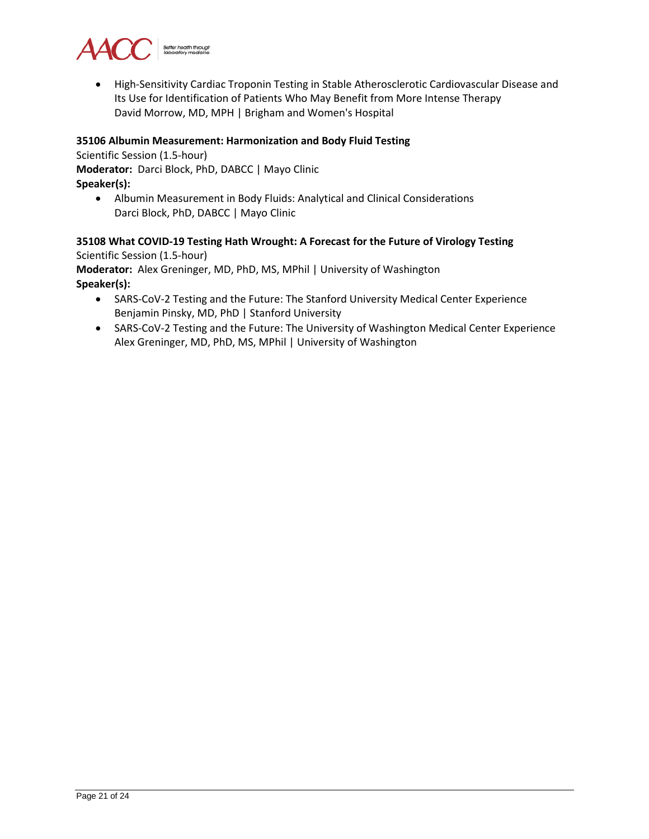

• High-Sensitivity Cardiac Troponin Testing in Stable Atherosclerotic Cardiovascular Disease and Its Use for Identification of Patients Who May Benefit from More Intense Therapy David Morrow, MD, MPH | Brigham and Women's Hospital

#### **35106 Albumin Measurement: Harmonization and Body Fluid Testing**

Scientific Session (1.5-hour)

**Moderator:** Darci Block, PhD, DABCC | Mayo Clinic

**Speaker(s):**

• Albumin Measurement in Body Fluids: Analytical and Clinical Considerations Darci Block, PhD, DABCC | Mayo Clinic

#### **35108 What COVID-19 Testing Hath Wrought: A Forecast for the Future of Virology Testing** Scientific Session (1.5-hour)

**Moderator:** Alex Greninger, MD, PhD, MS, MPhil | University of Washington **Speaker(s):**

- SARS-CoV-2 Testing and the Future: The Stanford University Medical Center Experience Benjamin Pinsky, MD, PhD | Stanford University
- SARS-CoV-2 Testing and the Future: The University of Washington Medical Center Experience Alex Greninger, MD, PhD, MS, MPhil | University of Washington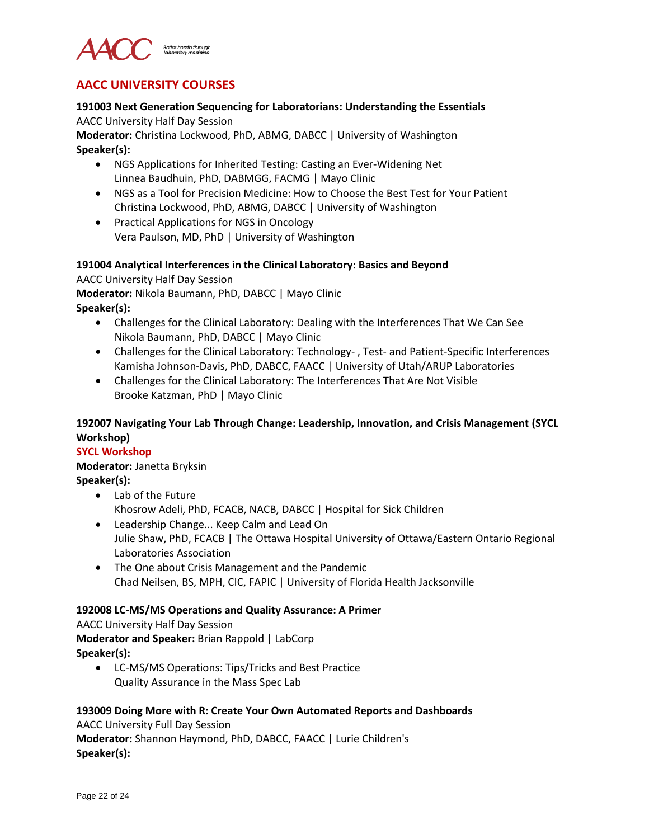

# **AACC UNIVERSITY COURSES**

#### **191003 Next Generation Sequencing for Laboratorians: Understanding the Essentials** AACC University Half Day Session

**Moderator:** Christina Lockwood, PhD, ABMG, DABCC | University of Washington **Speaker(s):**

- NGS Applications for Inherited Testing: Casting an Ever-Widening Net Linnea Baudhuin, PhD, DABMGG, FACMG | Mayo Clinic
- NGS as a Tool for Precision Medicine: How to Choose the Best Test for Your Patient Christina Lockwood, PhD, ABMG, DABCC | University of Washington
- Practical Applications for NGS in Oncology Vera Paulson, MD, PhD | University of Washington

#### **191004 Analytical Interferences in the Clinical Laboratory: Basics and Beyond**

AACC University Half Day Session

**Moderator:** Nikola Baumann, PhD, DABCC | Mayo Clinic

- **Speaker(s):**
	- Challenges for the Clinical Laboratory: Dealing with the Interferences That We Can See Nikola Baumann, PhD, DABCC | Mayo Clinic
	- Challenges for the Clinical Laboratory: Technology- , Test- and Patient-Specific Interferences Kamisha Johnson-Davis, PhD, DABCC, FAACC | University of Utah/ARUP Laboratories
	- Challenges for the Clinical Laboratory: The Interferences That Are Not Visible Brooke Katzman, PhD | Mayo Clinic

# **192007 Navigating Your Lab Through Change: Leadership, Innovation, and Crisis Management (SYCL Workshop)**

# **SYCL Workshop**

**Moderator:** Janetta Bryksin **Speaker(s):**

- Lab of the Future Khosrow Adeli, PhD, FCACB, NACB, DABCC | Hospital for Sick Children
- Leadership Change... Keep Calm and Lead On Julie Shaw, PhD, FCACB | The Ottawa Hospital University of Ottawa/Eastern Ontario Regional Laboratories Association
- The One about Crisis Management and the Pandemic Chad Neilsen, BS, MPH, CIC, FAPIC | University of Florida Health Jacksonville

# **192008 LC-MS/MS Operations and Quality Assurance: A Primer**

AACC University Half Day Session **Moderator and Speaker:** Brian Rappold | LabCorp **Speaker(s):**

• LC-MS/MS Operations: Tips/Tricks and Best Practice Quality Assurance in the Mass Spec Lab

# **193009 Doing More with R: Create Your Own Automated Reports and Dashboards**

AACC University Full Day Session **Moderator:** Shannon Haymond, PhD, DABCC, FAACC | Lurie Children's **Speaker(s):**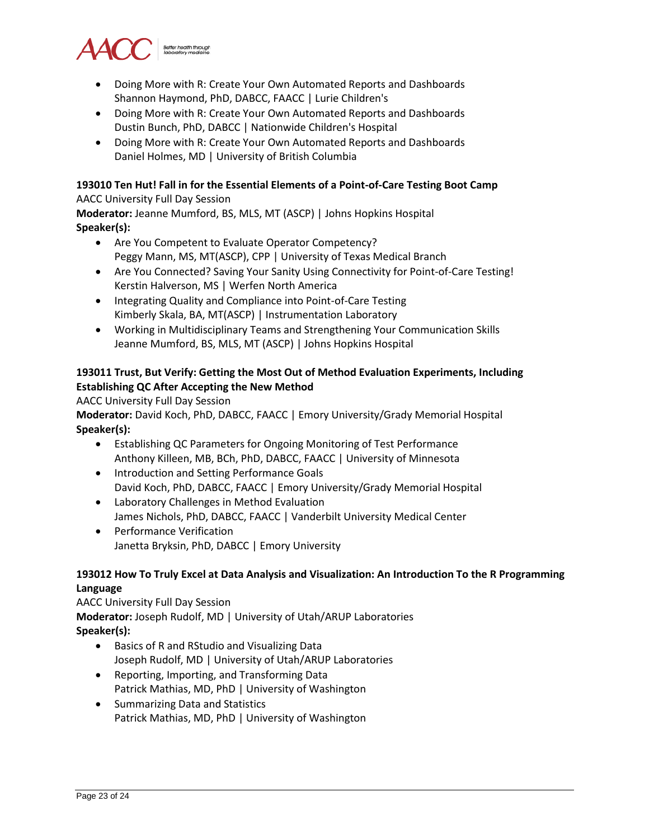

- Doing More with R: Create Your Own Automated Reports and Dashboards Shannon Haymond, PhD, DABCC, FAACC | Lurie Children's
- Doing More with R: Create Your Own Automated Reports and Dashboards Dustin Bunch, PhD, DABCC | Nationwide Children's Hospital
- Doing More with R: Create Your Own Automated Reports and Dashboards Daniel Holmes, MD | University of British Columbia

# **193010 Ten Hut! Fall in for the Essential Elements of a Point-of-Care Testing Boot Camp**

#### AACC University Full Day Session

**Moderator:** Jeanne Mumford, BS, MLS, MT (ASCP) | Johns Hopkins Hospital **Speaker(s):**

- Are You Competent to Evaluate Operator Competency? Peggy Mann, MS, MT(ASCP), CPP | University of Texas Medical Branch
- Are You Connected? Saving Your Sanity Using Connectivity for Point-of-Care Testing! Kerstin Halverson, MS | Werfen North America
- Integrating Quality and Compliance into Point-of-Care Testing Kimberly Skala, BA, MT(ASCP) | Instrumentation Laboratory
- Working in Multidisciplinary Teams and Strengthening Your Communication Skills Jeanne Mumford, BS, MLS, MT (ASCP) | Johns Hopkins Hospital

# **193011 Trust, But Verify: Getting the Most Out of Method Evaluation Experiments, Including Establishing QC After Accepting the New Method**

AACC University Full Day Session

**Moderator:** David Koch, PhD, DABCC, FAACC | Emory University/Grady Memorial Hospital **Speaker(s):**

- Establishing QC Parameters for Ongoing Monitoring of Test Performance Anthony Killeen, MB, BCh, PhD, DABCC, FAACC | University of Minnesota
- Introduction and Setting Performance Goals David Koch, PhD, DABCC, FAACC | Emory University/Grady Memorial Hospital
- Laboratory Challenges in Method Evaluation James Nichols, PhD, DABCC, FAACC | Vanderbilt University Medical Center
- Performance Verification Janetta Bryksin, PhD, DABCC | Emory University

# **193012 How To Truly Excel at Data Analysis and Visualization: An Introduction To the R Programming Language**

AACC University Full Day Session **Moderator:** Joseph Rudolf, MD | University of Utah/ARUP Laboratories **Speaker(s):**

- Basics of R and RStudio and Visualizing Data Joseph Rudolf, MD | University of Utah/ARUP Laboratories
- Reporting, Importing, and Transforming Data Patrick Mathias, MD, PhD | University of Washington
- Summarizing Data and Statistics Patrick Mathias, MD, PhD | University of Washington